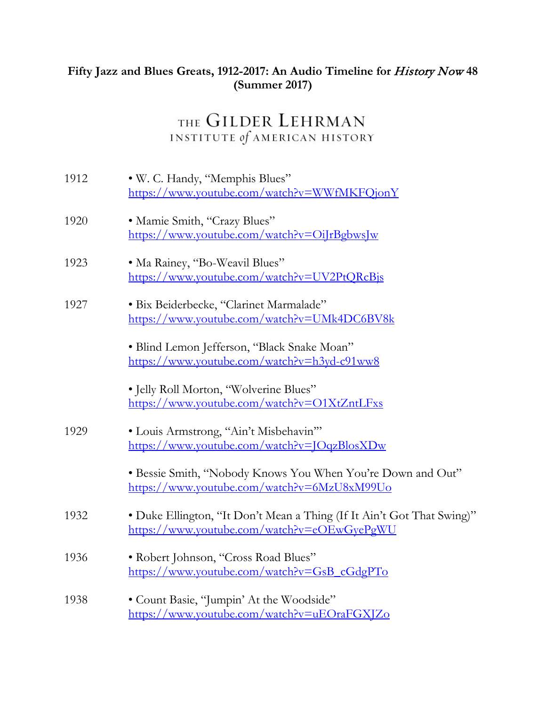## **Fifty Jazz and Blues Greats, 1912-2017: An Audio Timeline for** History Now **48 (Summer 2017)**

## THE GILDER LEHRMAN INSTITUTE of AMERICAN HISTORY

| 1912 | · W. C. Handy, "Memphis Blues"<br>https://www.youtube.com/watch?v=WWfMKFQjonY                                         |
|------|-----------------------------------------------------------------------------------------------------------------------|
| 1920 | · Mamie Smith, "Crazy Blues"<br>https://www.youtube.com/watch?v=OiJrBgbwsJw                                           |
| 1923 | · Ma Rainey, "Bo-Weavil Blues"<br>https://www.youtube.com/watch?v=UV2PtQRcBjs                                         |
| 1927 | · Bix Beiderbecke, "Clarinet Marmalade"<br>https://www.youtube.com/watch?v=UMk4DC6BV8k                                |
|      | • Blind Lemon Jefferson, "Black Snake Moan"<br>https://www.youtube.com/watch?v=h3yd-c91ww8                            |
|      | · Jelly Roll Morton, "Wolverine Blues"<br>https://www.youtube.com/watch?v=O1XtZntLFxs                                 |
| 1929 | · Louis Armstrong, "Ain't Misbehavin"<br>https://www.youtube.com/watch?v=JOqzBlosXDw                                  |
|      | • Bessie Smith, "Nobody Knows You When You're Down and Out"<br>https://www.youtube.com/watch?v=6MzU8xM99Uo            |
| 1932 | • Duke Ellington, "It Don't Mean a Thing (If It Ain't Got That Swing)"<br>https://www.youtube.com/watch?v=eOEwGyePgWU |
| 1936 | • Robert Johnson, "Cross Road Blues"<br>https://www.youtube.com/watch?v=GsB_cGdgPTo                                   |
| 1938 | • Count Basie, "Jumpin' At the Woodside"<br>https://www.youtube.com/watch?v=uEOraFGXJZo                               |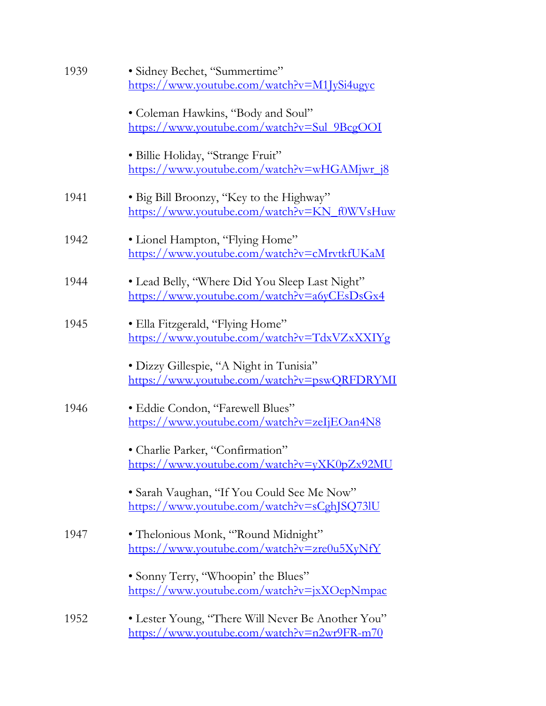| 1939 | · Sidney Bechet, "Summertime"                                                                    |
|------|--------------------------------------------------------------------------------------------------|
|      | https://www.youtube.com/watch?v=M1JySi4ugyc                                                      |
|      | • Coleman Hawkins, "Body and Soul"<br>https://www.youtube.com/watch?v=Sul_9BcgOOI                |
|      | · Billie Holiday, "Strange Fruit"<br>https://www.youtube.com/watch?v=wHGAMjwr j8                 |
| 1941 | • Big Bill Broonzy, "Key to the Highway"<br>https://www.youtube.com/watch?v=KN_f0WVsHuw          |
| 1942 | • Lionel Hampton, "Flying Home"<br>https://www.youtube.com/watch?v=cMrvtkfUKaM                   |
| 1944 | • Lead Belly, "Where Did You Sleep Last Night"<br>https://www.youtube.com/watch?v=a6yCEsDsGx4    |
| 1945 | · Ella Fitzgerald, "Flying Home"<br>https://www.youtube.com/watch?v=TdxVZxXXIYg                  |
|      | · Dizzy Gillespie, "A Night in Tunisia"<br>https://www.youtube.com/watch?v=pswQRFDRYMI           |
| 1946 | • Eddie Condon, "Farewell Blues"<br>https://www.youtube.com/watch?v=zeIjEOan4N8                  |
|      | · Charlie Parker, "Confirmation"<br>https://www.youtube.com/watch?v=yXK0pZx92MU                  |
|      | • Sarah Vaughan, "If You Could See Me Now"<br>https://www.youtube.com/watch?v=sCghJSQ73lU        |
| 1947 | • Thelonious Monk, "Round Midnight"<br>https://www.youtube.com/watch?v=zre0u5XyNfY               |
|      | • Sonny Terry, "Whoopin' the Blues"<br>https://www.youtube.com/watch?v=jxXOepNmpac               |
| 1952 | • Lester Young, "There Will Never Be Another You"<br>https://www.youtube.com/watch?v=n2wr9FR-m70 |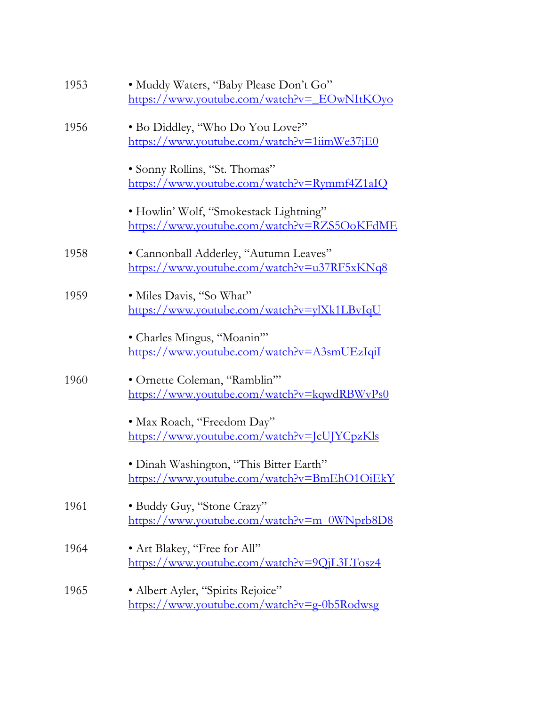| 1953 | · Muddy Waters, "Baby Please Don't Go"<br>https://www.youtube.com/watch?v= EOwNItKOyo  |
|------|----------------------------------------------------------------------------------------|
| 1956 | . Bo Diddley, "Who Do You Love?"<br>https://www.youtube.com/watch?v=1iimWe37jE0        |
|      | · Sonny Rollins, "St. Thomas"<br>https://www.youtube.com/watch?v=Rymmf4Z1aIQ           |
|      | • Howlin' Wolf, "Smokestack Lightning"<br>https://www.youtube.com/watch?v=RZS5OoKFdME  |
| 1958 | • Cannonball Adderley, "Autumn Leaves"<br>https://www.youtube.com/watch?v=u37RF5xKNq8  |
| 1959 | · Miles Davis, "So What"<br>https://www.youtube.com/watch?v=ylXk1LBvIqU                |
|      | • Charles Mingus, "Moanin"<br>https://www.youtube.com/watch?v=A3smUEzIqiI              |
| 1960 | • Ornette Coleman, "Ramblin"<br>https://www.youtube.com/watch?v=kqwdRBWvPs0            |
|      | • Max Roach, "Freedom Day"<br>https://www.youtube.com/watch?v=JcUJYCpzKls              |
|      | · Dinah Washington, "This Bitter Earth"<br>https://www.youtube.com/watch?v=BmEhO1OiEkY |
| 1961 | • Buddy Guy, "Stone Crazy"<br>https://www.youtube.com/watch?v=m_0WNprb8D8              |
| 1964 | • Art Blakey, "Free for All"<br>https://www.youtube.com/watch?v=9QjL3LTosz4            |
| 1965 | • Albert Ayler, "Spirits Rejoice"<br>https://www.youtube.com/watch?v=g-0b5Rodwsg       |